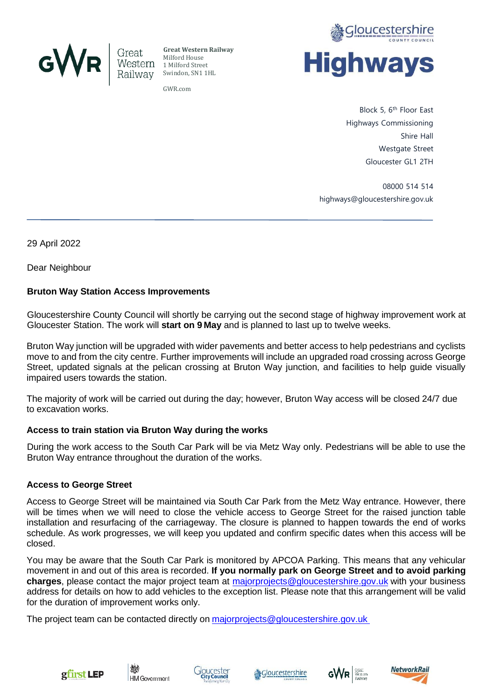

**Great Western Railway** Milford House 1 Milford Street Swindon, SN1 1HL

GWR.com



Block 5, 6th Floor East Highways Commissioning Shire Hall Westgate Street Gloucester GL1 2TH

08000 514 514 highways@gloucestershire.gov.uk

29 April 2022

Dear Neighbour

## **Bruton Way Station Access Improvements**

Gloucestershire County Council will shortly be carrying out the second stage of highway improvement work at Gloucester Station. The work will **start on 9 May** and is planned to last up to twelve weeks.

Bruton Way junction will be upgraded with wider pavements and better access to help pedestrians and cyclists move to and from the city centre. Further improvements will include an upgraded road crossing across George Street, updated signals at the pelican crossing at Bruton Way junction, and facilities to help guide visually impaired users towards the station.

The majority of work will be carried out during the day; however, Bruton Way access will be closed 24/7 due to excavation works.

## **Access to train station via Bruton Way during the works**

During the work access to the South Car Park will be via Metz Way only. Pedestrians will be able to use the Bruton Way entrance throughout the duration of the works.

## **Access to George Street**

Access to George Street will be maintained via South Car Park from the Metz Way entrance. However, there will be times when we will need to close the vehicle access to George Street for the raised junction table installation and resurfacing of the carriageway. The closure is planned to happen towards the end of works schedule. As work progresses, we will keep you updated and confirm specific dates when this access will be closed.

You may be aware that the South Car Park is monitored by APCOA Parking. This means that any vehicular movement in and out of this area is recorded. **If you normally park on George Street and to avoid parking charges**, please contact the major project team at [majorprojects@gloucestershire.gov.uk](mailto:majorprojects@gloucestershire.gov.uk) with your business address for details on how to add vehicles to the exception list. Please note that this arrangement will be valid for the duration of improvement works only.

The project team can be contacted directly on [majorprojects@gloucestershire.gov.uk](mailto:majorprojects@gloucestershire.gov.uk)